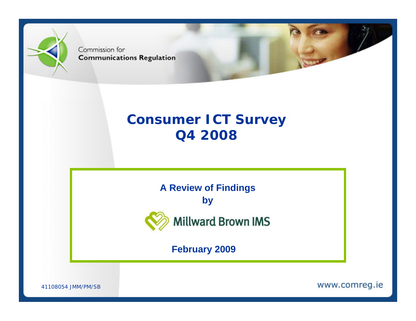

Commission for **Communications Regulation** 

# **Consumer ICT Survey Q4 2008**

**A Review of Findings**

**by**



**Millward Brown IMS** 

**February 2009**

41108054 JMM/PM/SB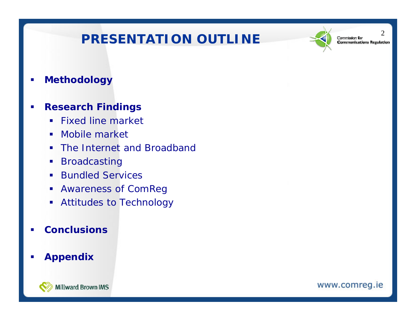# PRESENTATION OUTLINE  $\leq$  communications regul



 $\mathcal{D}_{\mathcal{L}}$ 

 $\mathcal{L}_{\mathcal{A}}$ **Methodology**

#### $\overline{\phantom{a}}$ **Research Findings**

- **Fixed line market**
- $\mathbf{r}$ Mobile market
- **The Internet and Broadband**
- a. Broadcasting
- **Bundled Services**
- Awareness of ComReg
- Attitudes to Technology

#### П **Conclusions**

#### п **Appendix**

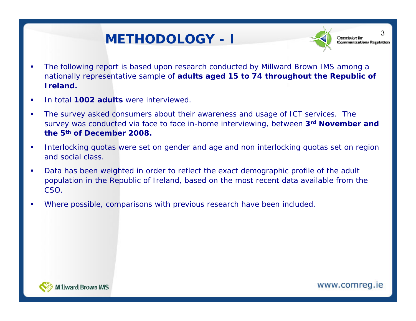# **METHODOLOGY - I**



3

- $\overline{\phantom{a}}$  The following report is based upon research conducted by Millward Brown IMS among a nationally representative sample of **adults aged 15 to 74 throughout the Republic of Ireland.**
- $\overline{\phantom{a}}$ **In total 1002 adults** were interviewed.
- $\overline{\phantom{a}}$  The survey asked consumers about their awareness and usage of ICT services. The survey was conducted via face to face in-home interviewing, between **3rd November and the 5th of December 2008.**
- $\mathbf{r}$  Interlocking quotas were set on gender and age and non interlocking quotas set on region and social class.
- $\overline{\phantom{a}}$  Data has been weighted in order to reflect the exact demographic profile of the adult population in the Republic of Ireland, based on the most recent data available from the CSO.
- f. Where possible, comparisons with previous research have been included.

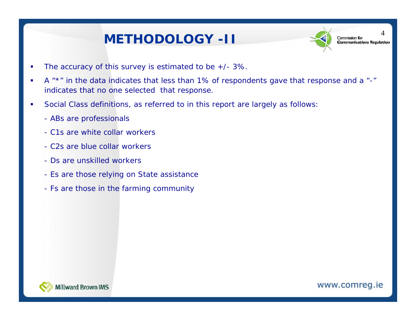# **METHODOLOGY -II**



4

- $\blacksquare$ The accuracy of this survey is estimated to be  $+/- 3\%$ .
- $\mathbf{r}$ A "\*" in the data indicates that less than 1% of respondents gave that response and a "-" indicates that no one selected that response.
- $\overline{\phantom{a}}$  Social Class definitions, as referred to in this report are largely as follows:
	- ABs are professionals
	- C1s are white collar workers
	- C2s are blue collar workers
	- Ds are unskilled workers
	- Es are those relying on State assistance
	- Fs are those in the farming community

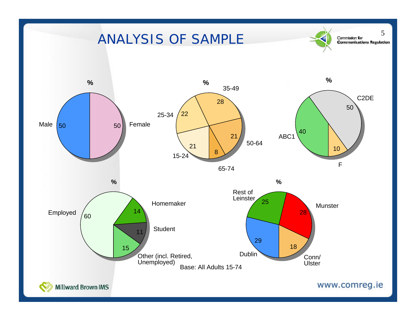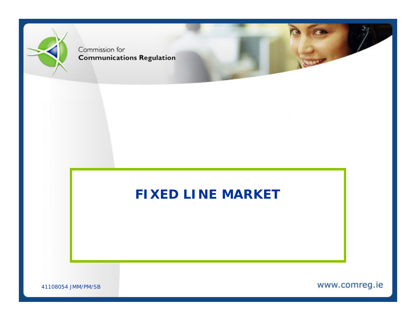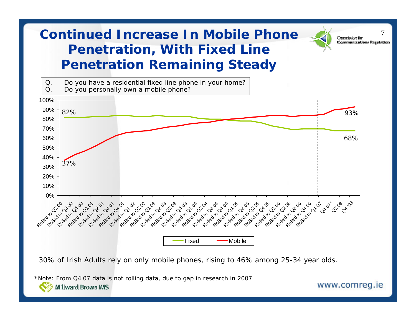# **Continued Increase In Mobile Phone Penetration, With Fixed Line Penetration Remaining Steady**



30% of Irish Adults rely on only mobile phones, rising to 46% among 25-34 year olds.

*\*Note: From Q4'07 data is not rolling data, due to gap in research in 2007* **Millward Brown IMS** 

www.comreg.ie

**Communications Regulation**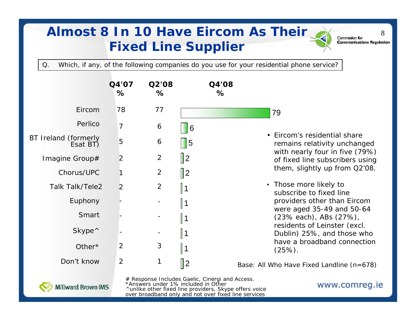# **Almost 8 In 10 Have Eircom As Their Fixed Line Supplier**

Commission for **Communications Regulation** 

www.comreg.ie

8

Q. Which, if any, of the following companies do you use for your residential phone service?

|                                      | Q4'07<br>%     | Q2'08<br>%     | Q4'08<br>%     |                                                                   |
|--------------------------------------|----------------|----------------|----------------|-------------------------------------------------------------------|
| Eircom                               | 78             | 77             |                | 79                                                                |
| Perlico                              | $\overline{7}$ | 6              | $\blacksquare$ |                                                                   |
| BT Ireland (formerly<br>Esat BT)     | 5              | 6              | $\vert$ 5      | • Eircom's residential share<br>remains relativity unchanged      |
| Imagine Group#                       | 2              | $\overline{2}$ | $\parallel$ 2  | with nearly four in five (79%)<br>of fixed line subscribers using |
| Chorus/UPC                           |                | $\overline{2}$ | $\parallel$ 2  | them, slightly up from Q2'08.                                     |
| <b>Talk Talk/Tele2</b>               | 2              | $\overline{2}$ | ∥1             | • Those more likely to<br>subscribe to fixed line                 |
| Euphony                              |                |                | 1 ∥            | providers other than Eircom                                       |
| Smart                                |                |                | ∥1             | were aged 35-49 and 50-64<br>(23% each), ABs (27%),               |
| Skype <sup><math>\wedge</math></sup> |                |                | ∥1             | residents of Leinster (excl.<br>Dublin) 25%, and those who        |
| Other*                               | 2              | 3              | $\parallel$ 1  | have a broadband connection<br>$(25%)$ .                          |
| Don't know                           | 2              | 1              | $\parallel$ 2  | Base: All Who Have Fixed Landline (n=678)                         |



# Response Includes Gaelic, Cinergi and Access. \*Answers under 1% included in Other ^unlike other fixed line providers, Skype offers voice over broadband only and not over fixed line services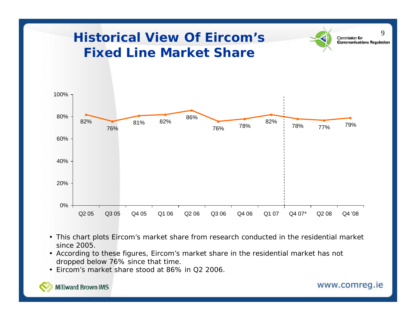

- This chart plots Eircom's market share from research conducted in the residential market since 2005.
- According to these figures, Eircom's market share in the residential market has not dropped below 76% since that time.
- Eircom's market share stood at 86% in Q2 2006.

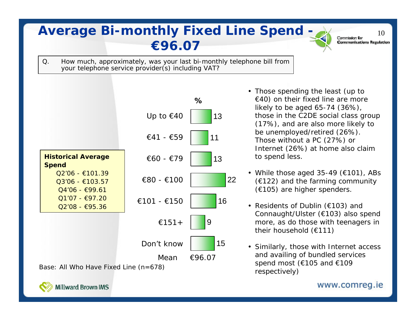# **Average Bi-monthly Fixed Line Spend - All Commission for** 10 **€96.07**

**Communications Regulation** 

Q. How much, approximately, was your last bi-monthly telephone bill from your telephone service provider(s) including VAT?



- Those spending the least (up to  $\in$  40) on their fixed line are more likely to be aged 65-74 (36%), those in the C2DE social class group (17%), and are also more likely to be unemployed/retired (26%). Those without a PC (27%) or Internet (26%) at home also claim to spend less.
- While those aged 35-49 (€101), ABs  $(6122)$  and the farming community (€105) are higher spenders.
- Residents of Dublin (€103) and Connaught/Ulster (€103) also spend more, as do those with teenagers in their household (€111)
- Similarly, those with Internet access and availing of bundled services spend most ( $\epsilon$ 105 and  $\epsilon$ 109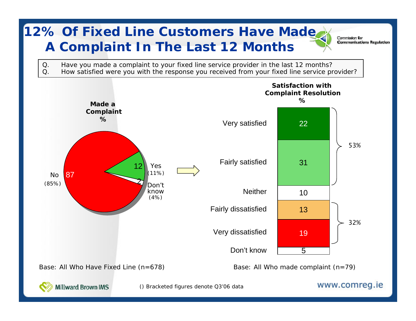# **12% Of Fixed Line Customers Have Made A Complaint In The Last 12 Months**

Commission for **Communications Regulation** 

Q. Have you made a complaint to your fixed line service provider in the last 12 months?<br>Q. How satisfied were you with the response you received from your fixed line service pro How satisfied were you with the response you received from your fixed line service provider?

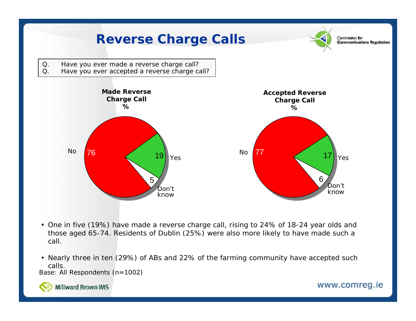

- One in five (19%) have made a reverse charge call, rising to 24% of 18-24 year olds and those aged 65-74. Residents of Dublin (25%) were also more likely to have made such a call.
- Nearly three in ten (29%) of ABs and 22% of the farming community have accepted such calls.

Base: All Respondents (n=1002)



**Millward Brown IMS**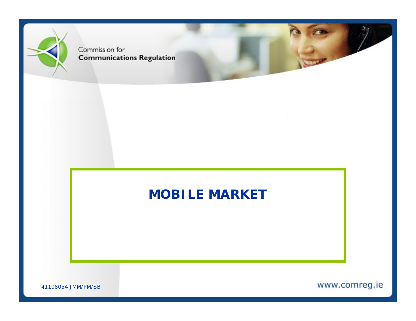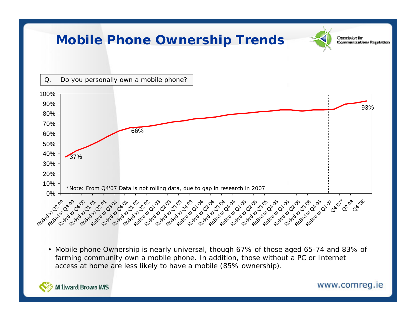

• Mobile phone Ownership is nearly universal, though 67% of those aged 65-74 and 83% of farming community own a mobile phone. In addition, those without a PC or Internet access at home are less likely to have a mobile (85% ownership).



Millward Brown IMS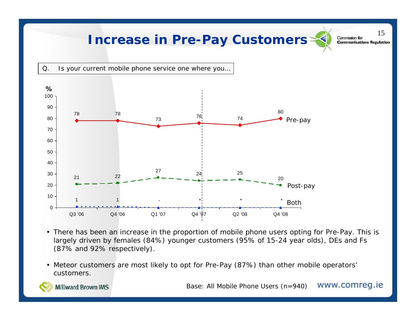### **Increase in Pre-Pay Customers**  $\leq$  **Communications Regulation**

15



- There has been an increase in the proportion of mobile phone users opting for Pre-Pay. This is largely driven by females (84%) younger customers (95% of 15-24 year olds), DEs and Fs (87% and 92% respectively).
- Meteor customers are most likely to opt for Pre-Pay (87%) than other mobile operators' customers.

Base: All Mobile Phone Users (n=940) WWW.COMTeg.ie



**Millward Brown IMS**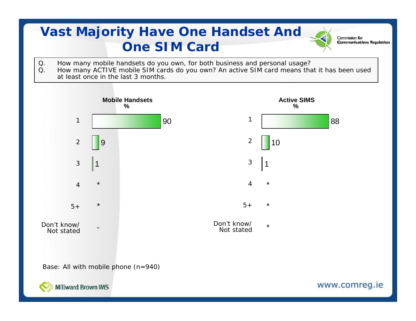# **Vast Majority Have One Handset And One SIM Card**

Q. How many mobile handsets do you own, for both business and personal usage?<br>Q. How many ACTIVE mobile SIM cards do you own? An active SIM card means that How many ACTIVE mobile SIM cards do you own? An active SIM card means that it has been used at least once in the last 3 months.

Commission for

**Communications Regulation** 

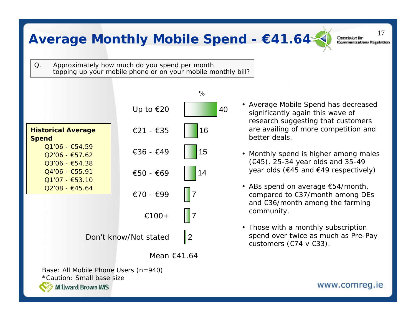## Average Monthly Mobile Spend - €41.64 and Communications Regulation

17

Q. Approximately how much do you spend per month topping up your mobile phone or on your mobile monthly bill?



- Average Mobile Spend has decreased significantly again this wave of research suggesting that customers are availing of more competition and better deals.
- Monthly spend is higher among males (€45), 25-34 year olds and 35-49 year olds (€45 and €49 respectively)
- ABs spend on average €54/month, compared to €37/month among DEs and €36/month among the farming community.
- Those with a monthly subscription spend over twice as much as Pre-Pay customers ( $E$ 74 v  $E$ 33).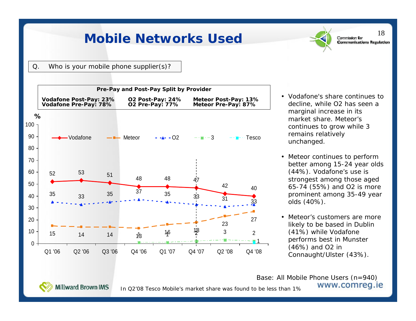### **Mobile Networks Used**



18

Q. Who is your mobile phone supplier(s)?



- Vodafone's share continues to decline, while O2 has seen a marginal increase in its market share. Meteor's continues to grow while 3 remains relatively unchanged.
- Meteor continues to perform better among 15-24 year olds (44%). Vodafone's use is strongest among those aged 65-74 (55%) and O2 is more prominent among 35-49 year olds (40%).
- Meteor's customers are more likely to be based in Dublin (41%) while Vodafone performs best in Munster (46%) and O2 in Connaught/Ulster (43%).

Base: All Mobile Phone Users (n=940) www.comreg.ie

Millward Brown IMS

In Q2'08 Tesco Mobile's market share was found to be less than 1%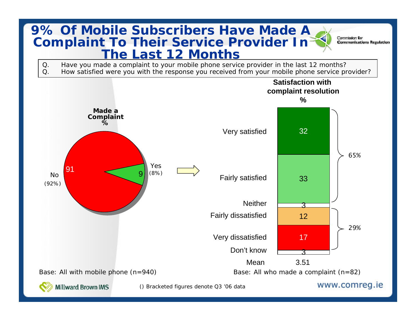#### **9% Of Mobile Subscribers Have Made A Complaint To Their Service Provider In The Last 12 Months**

Commission for **Communications Regulation** 

Q. Have you made a complaint to your mobile phone service provider in the last 12 months?<br>Q. How satisfied were you with the response you received from your mobile phone service pro How satisfied were you with the response you received from your mobile phone service provider?

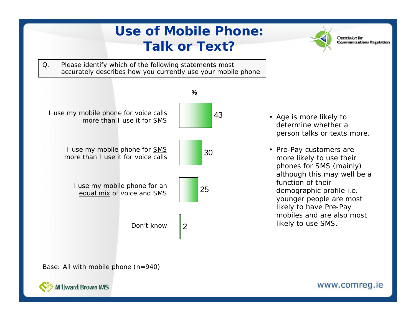

Base: All with mobile phone (n=940)

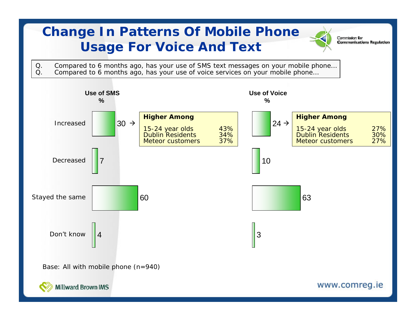# **Change In Patterns Of Mobile Phone Usage For Voice And Text**

Commission for **Communications Regulation** 

Q. Compared to 6 months ago, has your use of SMS text messages on your mobile phone...<br>Q. Compared to 6 months ago, has your use of voice services on your mobile phone... Compared to 6 months ago, has your use of voice services on your mobile phone...

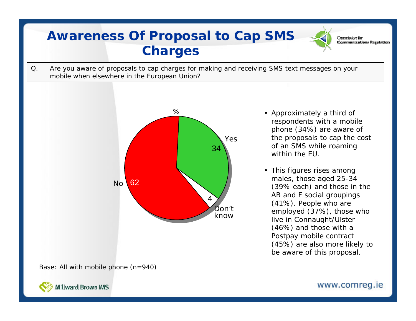## **Awareness Of Proposal to Cap SMS Charges**

Q. Are you aware of proposals to cap charges for making and receiving SMS text messages on your mobile when elsewhere in the European Union?



• Approximately a third of respondents with a mobile phone (34%) are aware of the proposals to cap the cost of an SMS while roaming within the EU.

Commission for

**Communications Regulation** 

• This figures rises among males, those aged 25-34 (39% each) and those in the AB and F social groupings (41%). People who are employed (37%), those who live in Connaught/Ulster (46%) and those with a Postpay mobile contract (45%) are also more likely to be aware of this proposal.

Base: All with mobile phone (n=940)

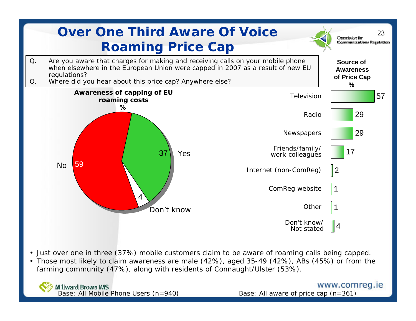

- Just over one in three (37%) mobile customers claim to be aware of roaming calls being capped.
- Those most likely to claim awareness are male (42%), aged 35-49 (42%), ABs (45%) or from the farming community (47%), along with residents of Connaught/Ulster (53%).

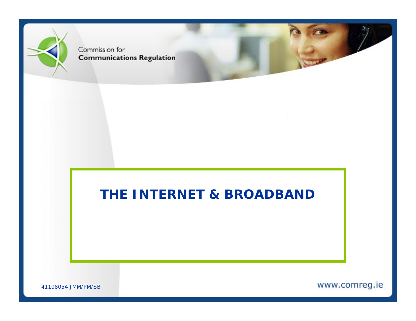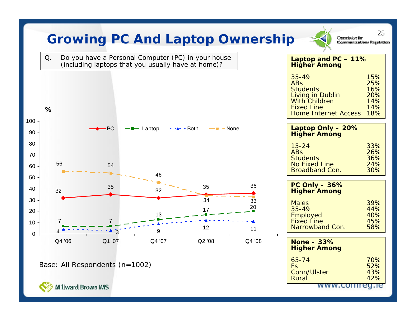| Q.     |                                | (including laptops that you usually have at home)? | Do you have a Personal Computer (PC) in your house |          | Laptop and PC - 11%<br><b>Higher Among</b>                                                                                                 |                                               |
|--------|--------------------------------|----------------------------------------------------|----------------------------------------------------|----------|--------------------------------------------------------------------------------------------------------------------------------------------|-----------------------------------------------|
| %      |                                |                                                    |                                                    |          | $35 - 49$<br><b>ABs</b><br><b>Students</b><br>Living in Dublin<br><b>With Children</b><br><b>Fixed Line</b><br><b>Home Internet Access</b> | 15%<br>25%<br>16%<br>20%<br>14%<br>14%<br>18% |
|        | PC                             | - Laptop                                           | — <del>∎</del> -None<br>$-A-$ - Both               |          | Laptop Only - 20%<br><b>Higher Among</b>                                                                                                   |                                               |
|        |                                |                                                    |                                                    |          | $15 - 24$<br><b>ABs</b><br><b>Students</b>                                                                                                 | 33%<br>26%<br>36%                             |
| 56     | 54                             | 46                                                 |                                                    |          | <b>No Fixed Line</b><br><b>Broadband Con.</b>                                                                                              | 24%<br>30%                                    |
| 32     | 35                             | 32                                                 | 35                                                 | 36       | PC Only $-36%$<br><b>Higher Among</b>                                                                                                      |                                               |
|        |                                |                                                    | 34<br>17                                           | 33<br>20 | <b>Males</b><br>$35 - 49$                                                                                                                  | 39%<br>44%                                    |
| 7      | 7                              | 13                                                 | 12                                                 | 11       | <b>Employed</b><br><b>Fixed Line</b><br>Narrowband Con.                                                                                    | 40%<br>45%<br>58%                             |
| Q4 '06 | Q1 '07                         | Q4 '07                                             | Q2 '08                                             | Q4 '08   | None $-33%$<br><b>Higher Among</b>                                                                                                         |                                               |
|        | Base: All Respondents (n=1002) |                                                    |                                                    |          | $65 - 74$<br><b>Fs</b><br>Conn/Ulster<br>Rural                                                                                             | 70%<br>52%<br>43%<br>42%                      |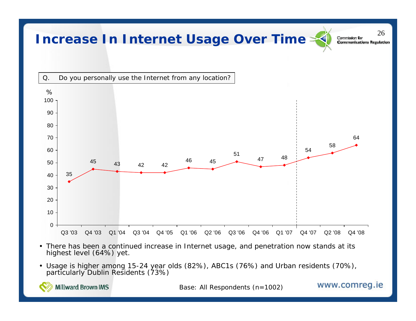#### Increase In Internet Usage Over Time **Solution** Q. Do you personally use the Internet from any location? 43 42 42 $\begin{array}{ccc} 2 & 46 & 45 \end{array}$  <sup>48</sup> Q3 '03 Q4 '03 Q1 '04 Q3 '04 Q4 '05 Q1 '06 Q2 '06 Q3 '06 Q4 '06 Q1 '07 Q4 '07 Q2 '08 Q4 '08 %

- There has been a continued increase in Internet usage, and penetration now stands at its highest level (64%) yet.
- Usage is higher among 15-24 year olds (82%), ABC1s (76%) and Urban residents (70%), particularly Dublin Residents (73%)



Base: All Respondents (n=1002)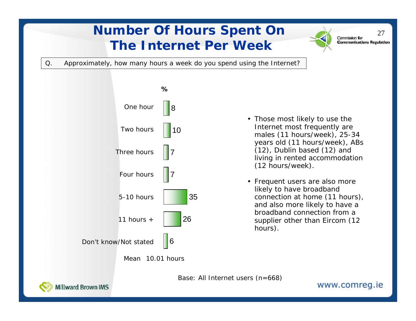# **Number Of Hours Spent On** 27 **The Internet Per Week**

**Communications Regulation** 

Q. Approximately, how many hours a week do you spend using the Internet?



- Those most likely to use the Internet most frequently are males (11 hours/week), 25-34 years old (11 hours/week), ABs (12), Dublin based (12) and living in rented accommodation (12 hours/week).
- Frequent users are also more likely to have broadband connection at home (11 hours), and also more likely to have a broadband connection from a supplier other than Eircom (12 hours).

Base: All Internet users (n=668)

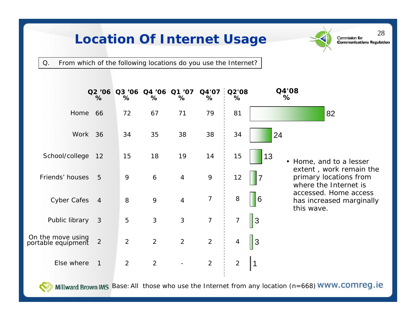# Location Of Internet Usage Samminications Regulation



Q. From which of the following locations do you use the Internet?

|                                         | %              | %              | Q2 '06 Q3 '06 Q4 '06 Q1 '07<br>% | %              | %              | $Q4'07$ $Q2'08$<br>% | Q4'08<br>%     |                                                                            |
|-----------------------------------------|----------------|----------------|----------------------------------|----------------|----------------|----------------------|----------------|----------------------------------------------------------------------------|
| Home                                    | 66             | 72             | 67                               | 71             | 79             | 81                   |                | 82                                                                         |
| Work                                    | 36             | 34             | 35                               | 38             | 38             | 34                   | 24             |                                                                            |
| School/college                          | 12             | 15             | 18                               | 19             | 14             | 15                   | 13             | • Home, and to a lesser                                                    |
| Friends' houses                         | 5              | 9              | 6                                | $\overline{4}$ | 9              | 12                   | $\overline{7}$ | extent, work remain the<br>primary locations from<br>where the Internet is |
| <b>Cyber Cafes</b>                      | $\overline{4}$ | 8              | 9                                | $\overline{4}$ | 7              | 8                    | 6              | accessed. Home access<br>has increased marginally<br>this wave.            |
| Public library                          | $\mathbf{3}$   | 5              | $\mathfrak{S}$                   | $\mathfrak{S}$ | $\overline{7}$ | 7                    | $\vert$ 3      |                                                                            |
| On the move using<br>portable equipment | $\overline{2}$ | 2              | $\overline{2}$                   | $\overline{2}$ | $\overline{2}$ | 4                    | 3              |                                                                            |
| Else where                              | $\mathbf{1}$   | $\overline{2}$ | $\overline{2}$                   |                | $\overline{2}$ | $\overline{2}$       | 1              |                                                                            |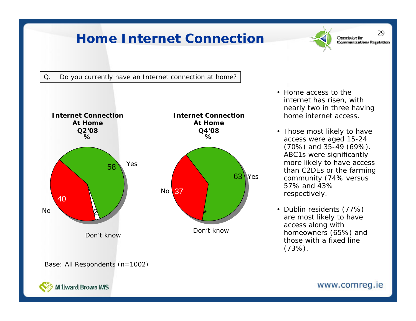### Home Internet Connection  $\leq$



29



• Home access to the internet has risen, with nearly two in three having home internet access.

- Those most likely to have access were aged 15-24 (70%) and 35-49 (69%). ABC1s were significantly more likely to have access than C2DEs or the farming community (74% versus 57% and 43% respectively.
- Dublin residents (77%) are most likely to have access along with homeowners (65%) and those with a fixed line (73%).

Base: All Respondents (n=1002)

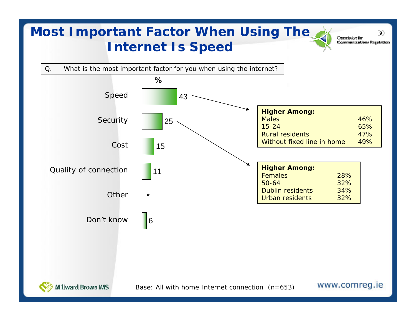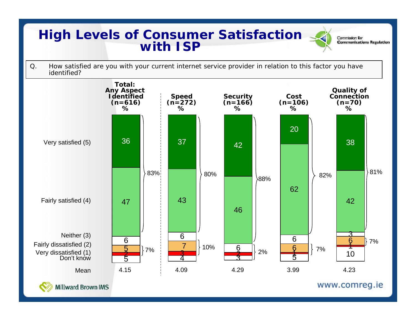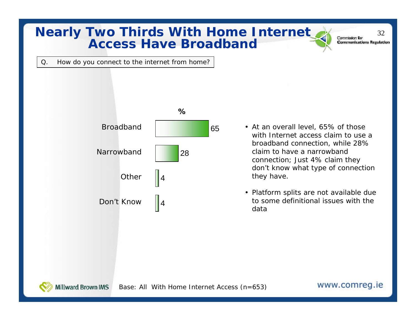#### **Nearly Two Thirds With Home Internet Access Have Broadband**

**Communications Regulation** 

Q. How do you connect to the internet from home?



- At an overall level, 65% of those with Internet access claim to use a broadband connection, while 28% claim to have a narrowband connection; Just 4% claim they don't know what type of connection they have.
- Platform splits are not available due to some definitional issues with the data

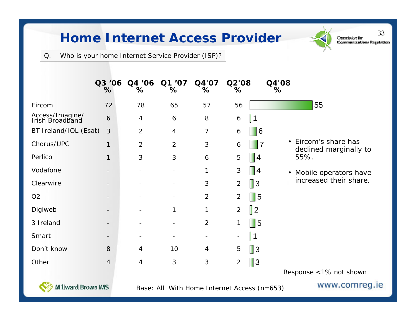### Home Internet Access Provider **Second Second Seconds**

Q. Who is your home Internet Service Provider (ISP)?

|                                    | Q3 '06<br>%              | Q4 '06<br>%    | Q1 '07<br>%    | Q4'07<br>%     | Q2'08<br>%                                | Q4'08<br>%                                                |
|------------------------------------|--------------------------|----------------|----------------|----------------|-------------------------------------------|-----------------------------------------------------------|
| Eircom                             | 72                       | 78             | 65             | 57             | 56                                        | 55                                                        |
| Access/Imagine/<br>Irish Broadband | $\boldsymbol{6}$         | 4              | 6              | 8              | $\vert$ 1<br>6                            |                                                           |
| BT Ireland/IOL (Esat)              | 3                        | $\overline{2}$ | $\overline{4}$ | 7              | 6                                         | 6                                                         |
| Chorus/UPC                         | 1                        | $\overline{2}$ | $\overline{2}$ | 3              | 6                                         | Eircom's share has<br>$\bullet$<br>declined marginally to |
| Perlico                            | $\mathbf{1}$             | 3              | 3              | 6              | $\parallel$ 4<br>5                        | 55%.                                                      |
| Vodafone                           |                          |                |                | 1              | 3<br>$\blacksquare$                       | Mobile operators have<br>$\bullet$                        |
| Clearwire                          | $\overline{\phantom{0}}$ |                |                | 3              | $\parallel$ 3<br>$\overline{2}$           | increased their share.                                    |
| O <sub>2</sub>                     |                          |                |                | $\overline{2}$ | $\blacksquare$ 5<br>$\overline{2}$        |                                                           |
| Digiweb                            |                          |                | 1              | $\mathbf{1}$   | $\parallel$ 2<br>$\overline{2}$           |                                                           |
| 3 Ireland                          |                          |                |                | $\overline{2}$ | $\blacksquare$ 5                          |                                                           |
| Smart                              | $\overline{\phantom{a}}$ |                |                |                | $\parallel$ 1<br>$\overline{\phantom{a}}$ |                                                           |
| Don't know                         | 8                        | 4              | 10             | 4              | $\parallel$ 3<br>5                        |                                                           |
| Other                              | $\overline{4}$           | $\overline{4}$ | $\mathfrak{Z}$ | 3              | $\vert$ 3<br>$\overline{2}$               |                                                           |
|                                    |                          |                |                |                |                                           | Response <1% not shown                                    |



Base: All With Home Internet Access (n=653)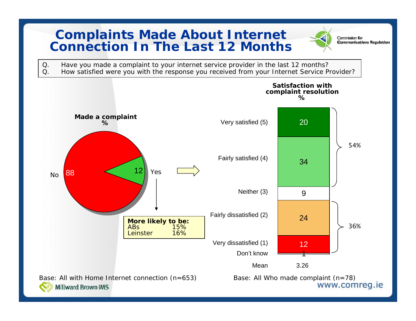### **Complaints Made About Internet Connection In The Last 12 Months**



Commission for **Communications Regulation** 

Q. Have you made a complaint to your internet service provider in the last 12 months?<br>Q. How satisfied were you with the response you received from your Internet Service P How satisfied were you with the response you received from your Internet Service Provider?

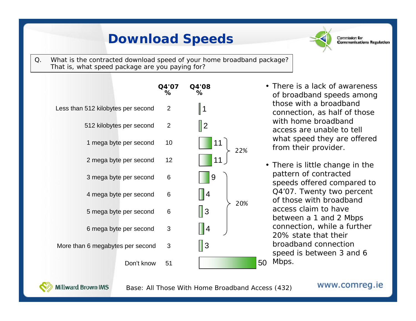# **Download Speeds**



Commission for **Communications Regulation** 

Q. What is the contracted download speed of your home broadband package? That is, what speed package are you paying for?



- There is a lack of awareness of broadband speeds among those with a broadband connection, as half of those with home broadband access are unable to tell what speed they are offered from their provider.
- 50 Mbps. • There is little change in the pattern of contracted speeds offered compared to Q4'07. Twenty two percent of those with broadband access claim to have between a 1 and 2 Mbps connection, while a further 20% state that their broadband connection speed is between 3 and 6



Base: All Those With Home Broadband Access (432)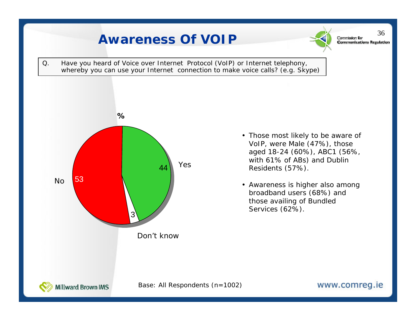# Awareness Of VOIP Q. Have you heard of Voice over Internet Protocol (VoIP) or Internet telephony, whereby you can use your Internet connection to make voice calls? (e.g. Skype)



- Those most likely to be aware of VoIP, were Male (47%), those aged 18-24 (60%), ABC1 (56%, with 61% of ABs) and Dublin Residents (57%).
- Awareness is higher also among broadband users (68%) and those availing of Bundled Services (62%).



Base: All Respondents (n=1002)

36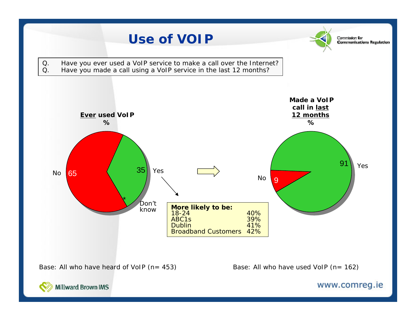

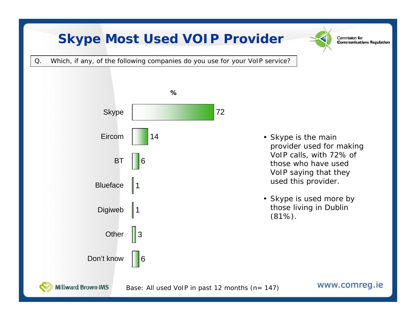# **Skype Most Used VOIP Provider**



Commission for **Communications Regulation** 

Q. Which, if any, of the following companies do you use for your VoIP service?



- Skype is the main provider used for making VoIP calls, with 72% of those who have used VoIP saying that they used this provider.
- Skype is used more by those living in Dublin (81%).



Base: All used VoIP in past 12 months (n= 147)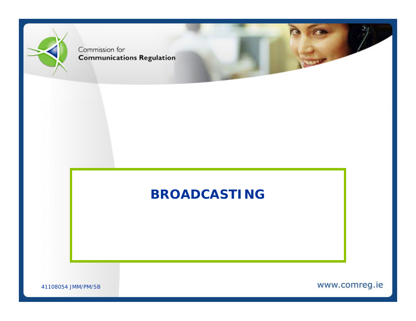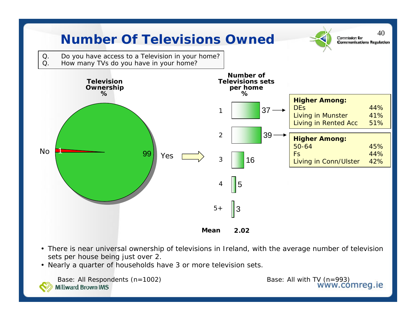

- There is near universal ownership of televisions in Ireland, with the average number of television sets per house being just over 2.
- Nearly a quarter of households have 3 or more television sets.

Base: All Respondents (n=1002) **Millward Brown IMS** 

Base: All with TV (n=993)<br>WWW.COMTeg.ie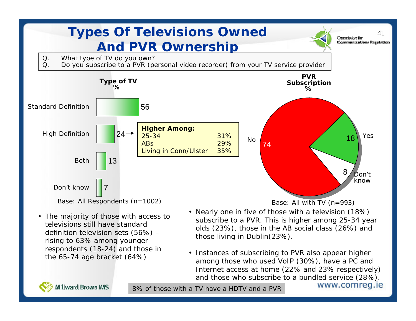

• Instances of subscribing to PVR also appear higher among those who used VoIP (30%), have a PC and Internet access at home (22% and 23% respectively) and those who subscribe to a bundled service (28%).



the 65-74 age bracket (64%)

8% of those with a TV have a HDTV and a PVR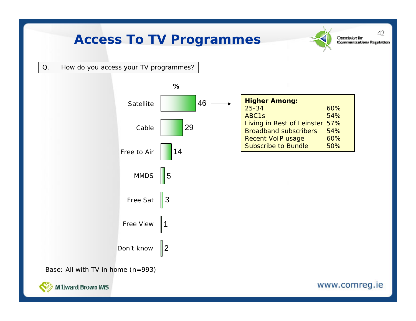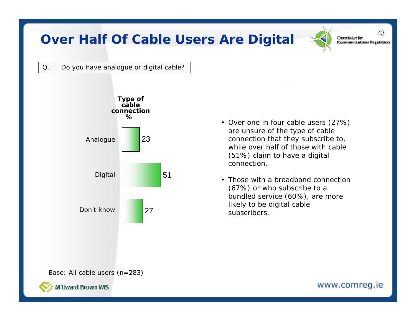### **Over Half Of Cable Users Are Digital** Supermission for

43

Q. Do you have analogue or digital cable?



are unsure of the type of cable connection that they subscribe to, while over half of those with cable (51%) claim to have a digital connection.

• Over one in four cable users (27%)

• Those with a broadband connection (67%) or who subscribe to a bundled service (60%), are more likely to be digital cable subscribers.

Base: All cable users (n=283)

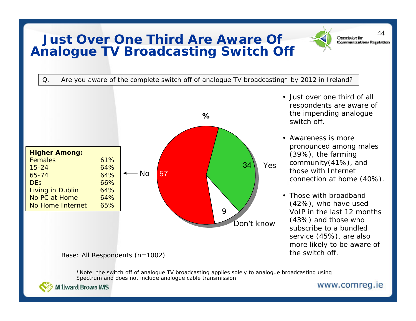#### **Just Over One Third Are Aware Of Analogue TV Broadcasting Switch Off**

44



(42%), who have used VoIP in the last 12 months (43%) and those who subscribe to a bundled service (45%), are also more likely to be aware of the switch off.

Base: All Respondents (n=1002)

\*Note: the switch off of analogue TV broadcasting applies solely to analogue broadcasting using Spectrum and does not include analogue cable transmission



**Millward Brown IMS**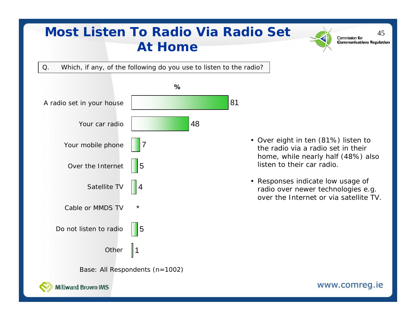# **Most Listen To Radio Via Radio Set** 2 **Commission for At Home**

Q. Which, if any, of the following do you use to listen to the radio?



- Over eight in ten (81%) listen to the radio via a radio set in their home, while nearly half (48%) also listen to their car radio.
- Responses indicate low usage of radio over newer technologies e.g. over the Internet or via satellite TV.

www.comreg.ie

**Communications Regulation**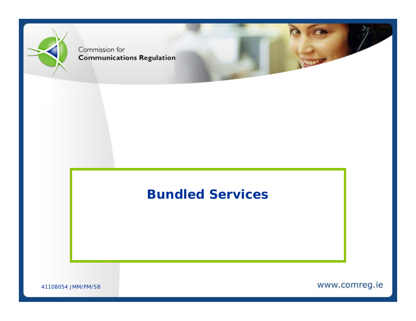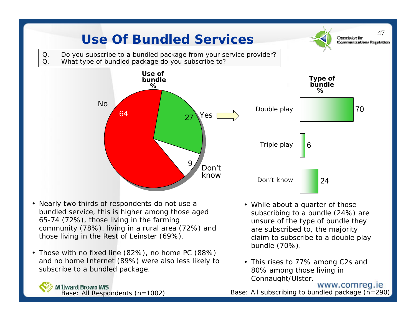

- Nearly two thirds of respondents do not use a bundled service, this is higher among those aged 65-74 (72%), those living in the farming community (78%), living in a rural area (72%) and those living in the Rest of Leinster (69%).
- • Those with no fixed line (82%), no home PC (88%) and no home Internet (89%) were also less likely to subscribe to a bundled package.



**Millward Brown IMS** Base: All Respondents (n=1002)

- While about a quarter of those subscribing to a bundle (24%) are unsure of the type of bundle they are subscribed to, the majority claim to subscribe to a double play bundle (70%).
- This rises to 77% among C2s and 80% among those living in Connaught/Ulster.

www.comreg.ie Base: All subscribing to bundled package (n=290)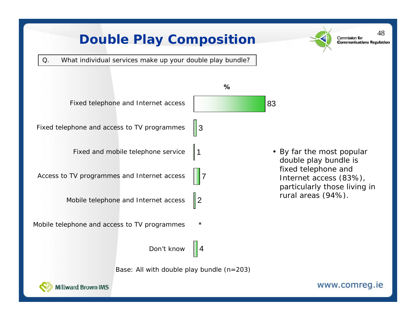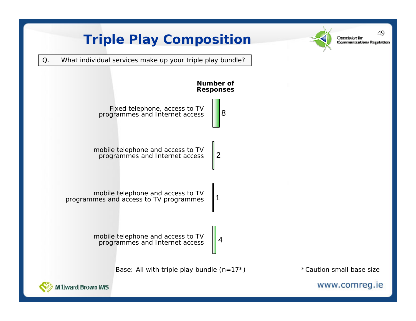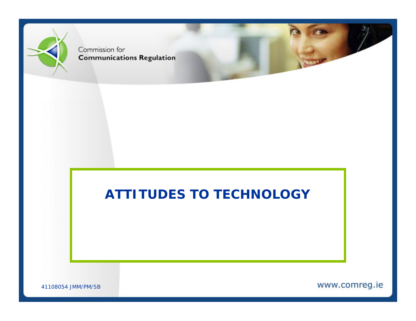

41108054 JMM/PM/SB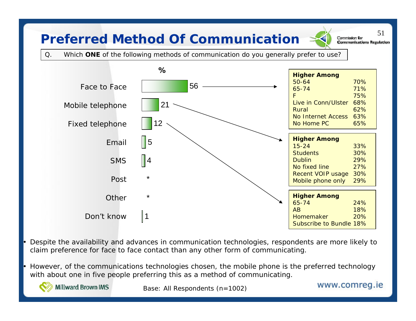## **Preferred Method Of Communication**  $\leq$  **Communications Regul**

51

Q. Which **ONE** of the following methods of communication do you generally prefer to use?



 Despite the availability and advances in communication technologies, respondents are more likely to claim preference for face to face contact than any other form of communicating.

 However, of the communications technologies chosen, the mobile phone is the preferred technology with about one in five people preferring this as a method of communicating.

•

•

**Millward Brown IMS** 

Base: All Respondents (n=1002)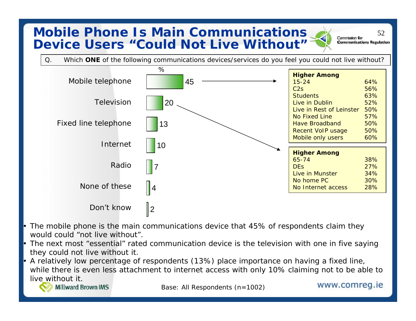### **Mobile Phone Is Main Communications**  $\sum_{\text{Commission for } 52}$ **Device Users "Could Not Live Without"**

**Communications Regulation** 



- The mobile phone is the main communications device that 45% of respondents claim they would could "not live without".
- • The next most "essential" rated communication device is the television with one in five saying they could not live without it.
- • A relatively low percentage of respondents (13%) place importance on having a fixed line, while there is even less attachment to internet access with only 10% claiming not to be able to live without it.

```
Millward Brown IMS
```
•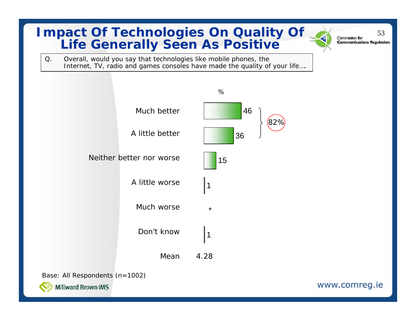#### **Impact Of Technologies On Quality Of**  $\frac{53}{1.1}$  **communications Regulation Life Generally Seen As Positive**

Q. Overall, would you say that technologies like mobile phones, the Internet, TV, radio and games consoles have made the quality of your life....

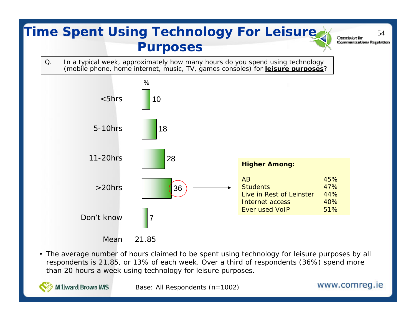

- Mean 21.85
- The average number of hours claimed to be spent using technology for leisure purposes by all respondents is 21.85, or 13% of each week. Over a third of respondents (36%) spend more than 20 hours a week using technology for leisure purposes.

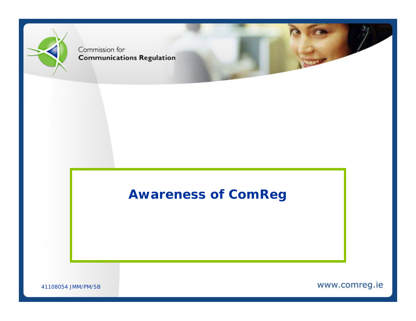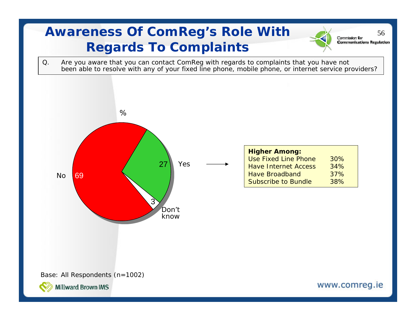# **Awareness Of ComReg's Role With Commission for** 56 **Regards To Complaints**

Q. Are you aware that you can contact ComReg with regards to complaints that you have not been able to resolve with any of your fixed line phone, mobile phone, or internet service providers?



| <b>Higher Among:</b>        |     |
|-----------------------------|-----|
| <b>Use Fixed Line Phone</b> | 30% |
| <b>Have Internet Access</b> | 34% |
| <b>Have Broadband</b>       | 37% |
| <b>Subscribe to Bundle</b>  | 38% |

Base: All Respondents (n=1002)



www.comreg.ie

**Communications Regulation**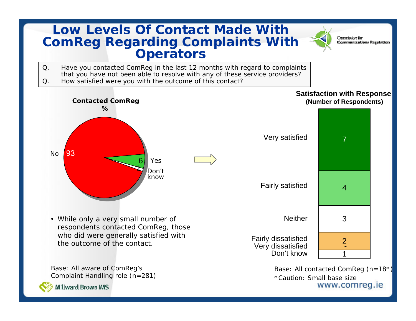#### **Low Levels Of Contact Made With ComReg Regarding Complaints With Operators**

- Q. Have you contacted ComReg in the last 12 months with regard to complaints that you have not been able to resolve with any of these service providers? Q. How satisfied were you with the outcome of this contact?
	- 19393 $\frac{1}{\sqrt{2}}$ 6**Contacted ComReg %**NoYesDon'tknow
	- While only a very small number of respondents contacted ComReg, those who did were generally satisfied with the outcome of the contact.

Base: All aware of ComReg's Complaint Handling role (n=281)



**Millward Brown IMS** 

#### **Satisfaction with Response (Number of Respondents)**

Commission for

**Communications Regulation** 



Base: All contacted ComReg (n=18\*) \*Caution: Small base size www.comreg.ie

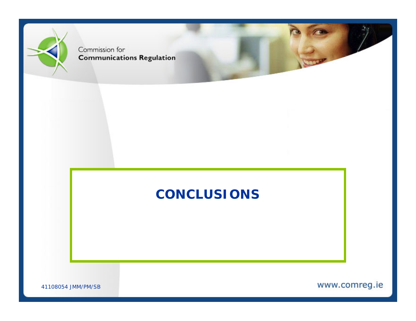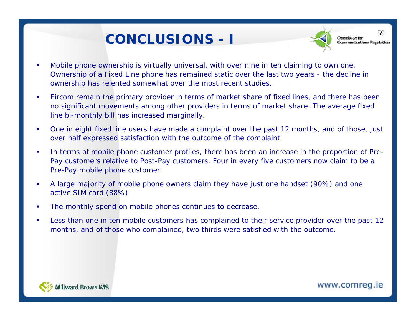# **CONCLUSIONS -I**<br> **I** Communications Regulation



59

- П Mobile phone ownership is virtually universal, with over nine in ten claiming to own one. Ownership of a Fixed Line phone has remained static over the last two years - the decline in ownership has relented somewhat over the most recent studies.
- $\mathbf{r}$  Eircom remain the primary provider in terms of market share of fixed lines, and there has been no significant movements among other providers in terms of market share. The average fixed line bi-monthly bill has increased marginally.
- $\blacksquare$  One in eight fixed line users have made a complaint over the past 12 months, and of those, just over half expressed satisfaction with the outcome of the complaint.
- $\overline{\phantom{a}}$  In terms of mobile phone customer profiles, there has been an increase in the proportion of Pre-Pay customers relative to Post-Pay customers. Four in every five customers now claim to be a Pre-Pay mobile phone customer.
- $\blacksquare$  A large majority of mobile phone owners claim they have just one handset (90%) and one active SIM card (88%)
- Ī. The monthly spend on mobile phones continues to decrease.
- П Less than one in ten mobile customers has complained to their service provider over the past 12 months, and of those who complained, two thirds were satisfied with the outcome.

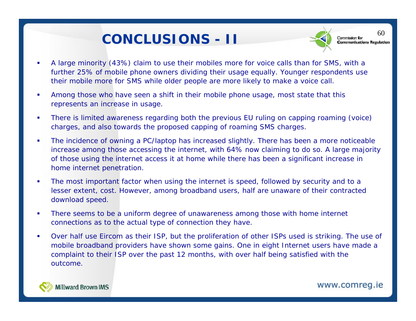# CONCLUSIONS - **II**<br> **CONCLUSIONS** - **II**



60

- П A large minority (43%) claim to use their mobiles more for voice calls than for SMS, with a further 25% of mobile phone owners dividing their usage equally. Younger respondents use their mobile more for SMS while older people are more likely to make a voice call.
- П Among those who have seen a shift in their mobile phone usage, most state that this represents an increase in usage.
- Г There is limited awareness regarding both the previous EU ruling on capping roaming (voice) charges, and also towards the proposed capping of roaming SMS charges.
- $\blacksquare$  The incidence of owning a PC/laptop has increased slightly. There has been a more noticeable increase among those accessing the internet, with 64% now claiming to do so. A large majority of those using the internet access it at home while there has been a significant increase in home internet penetration.
- П The most important factor when using the internet is speed, followed by security and to a lesser extent, cost. However, among broadband users, half are unaware of their contracted download speed.
- ù, There seems to be a uniform degree of unawareness among those with home internet connections as to the actual type of connection they have.
- П Over half use Eircom as their ISP, but the proliferation of other ISPs used is striking. The use of mobile broadband providers have shown some gains. One in eight Internet users have made a complaint to their ISP over the past 12 months, with over half being satisfied with the outcome.



Millward Brown IMS